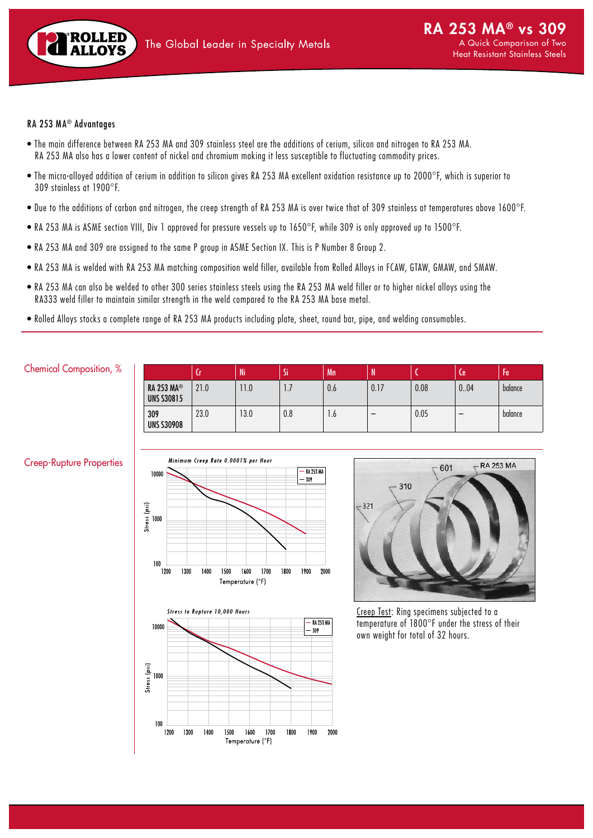

## RA 253 MA® Advantages

- The main difference between RA 253 MA and 309 stainless steel are the additions of cerium, silicon and nitrogen to RA 253 MA. RA 253 MA also has a lower content of nickel and chromium making it less susceptible to fluctuating commodity prices.
- The micro-alloyed addition of cerium in addition to silicon gives RA 253 MA excellent oxidation resistance up to 2000°F, which is superior to 309 stainless at 1900°F.
- Due to the additions of carbon and nitrogen, the creep strength of RA 253 MA is over twice that of 309 stainless at temperatures above 1600°F.
- RA 253 MA is ASME section VIII, Div 1 approved for pressure vessels up to 1650°F, while 309 is only approved up to 1500°F.
- RA 253 MA and 309 are assigned to the same P group in ASME Section IX. This is P Number 8 Group 2.
- RA 253 MA is welded with RA 253 MA matching composition weld filler, available from Rolled Alloys in FCAW, GTAW, GMAW, and SMAW.
- RA 253 MA can also be welded to other 300 series stainless steels using the RA 253 MA weld filler or to higher nickel alloys using the RA333 weld filler to maintain similar strength in the weld compared to the RA 253 MA base metal.
- Rolled Alloys stocks a complete range of RA 253 MA products including plate, sheet, round bar, pipe, and welding consumables.

## Chemical Composition, %

|                                        | ч    | Ni   | <br>Ы        | Mn   | IN   |      | Лe   | Fe      |
|----------------------------------------|------|------|--------------|------|------|------|------|---------|
| <b>RA 253 MA®</b><br><b>UNS S30815</b> | 21.0 | 1.0  | $\mathbf{L}$ | 0.6  | 0.17 | 0.08 | 0.04 | balance |
| 309<br><b>UNS S30908</b>               | 23.0 | 13.0 | 0.8          | ٥. ا |      | 0.05 | -    | balance |

## Creep-Rupture Properties





Creep Test: Ring specimens subjected to a temperature of 1800°F under the stress of their own weight for total of 32 hours.